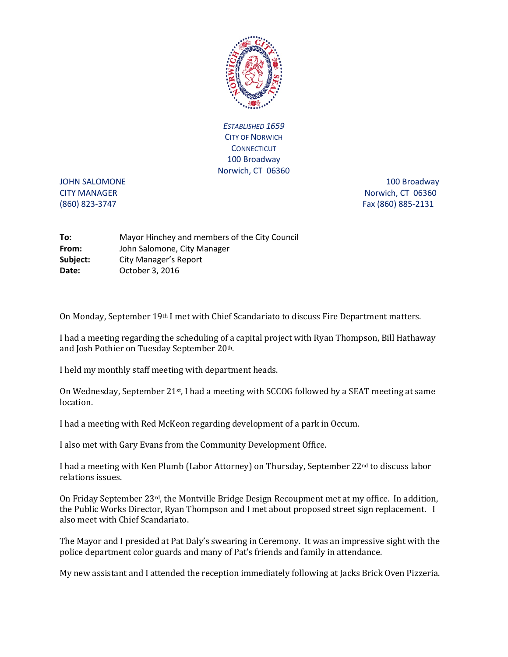

*ESTABLISHED 1659* CITY OF NORWICH **CONNECTICUT** 100 Broadway Norwich, CT 06360

JOHN SALOMONE 2000 100 Broadway 300 Broadway CITY MANAGER NORTH 2009 12:00 12:00 12:00 12:00 12:00 12:00 12:00 12:00 12:00 12:00 12:00 12:00 12:00 12:00 12:00 12:00 12:00 12:00 12:00 12:00 12:00 12:00 12:00 12:00 12:00 12:00 12:00 12:00 12:00 12:00 12:00 12:00 12:00 (860) 823-3747 Fax (860) 885-2131

| To:      | Mayor Hinchey and members of the City Council |
|----------|-----------------------------------------------|
| From:    | John Salomone, City Manager                   |
| Subject: | <b>City Manager's Report</b>                  |
| Date:    | October 3, 2016                               |

On Monday, September 19th I met with Chief Scandariato to discuss Fire Department matters.

I had a meeting regarding the scheduling of a capital project with Ryan Thompson, Bill Hathaway and Josh Pothier on Tuesday September 20th.

I held my monthly staff meeting with department heads.

On Wednesday, September  $21^{st}$ , I had a meeting with SCCOG followed by a SEAT meeting at same location.

I had a meeting with Red McKeon regarding development of a park in Occum.

I also met with Gary Evans from the Community Development Office.

I had a meeting with Ken Plumb (Labor Attorney) on Thursday, September 22nd to discuss labor relations issues.

On Friday September 23rd, the Montville Bridge Design Recoupment met at my office. In addition, the Public Works Director, Ryan Thompson and I met about proposed street sign replacement. I also meet with Chief Scandariato.

The Mayor and I presided at Pat Daly's swearing in Ceremony. It was an impressive sight with the police department color guards and many of Pat's friends and family in attendance.

My new assistant and I attended the reception immediately following at Jacks Brick Oven Pizzeria.